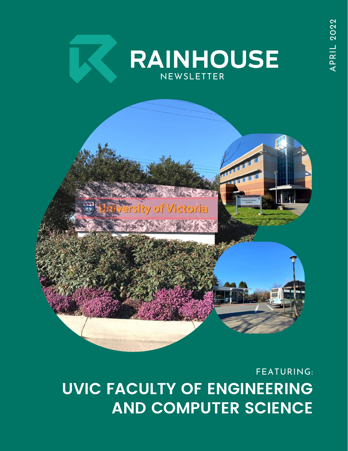

#### FEATURING: **UVIC FACULTY OF ENGINEERING AND COMPUTER SCIENCE**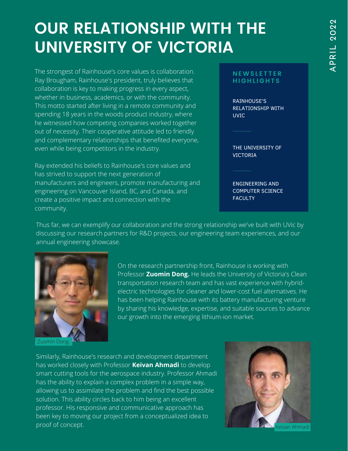### **OUR RELATIONSHIP WITH THE UNIVERSITY OF VICTORIA**

The strongest of Rainhouse's core values is collaboration. Ray Brougham, Rainhouse's president, truly believes that collaboration is key to making progress in every aspect, whether in business, academics, or with the community. This motto started after living in a remote community and spending 18 years in the woods product industry, where he witnessed how competing companies worked together out of necessity. Their cooperative attitude led to friendly and complementary relationships that benefited everyone, even while being competitors in the industry.

Ray extended his beliefs to Rainhouse's core values and has strived to support the next generation of manufacturers and engineers, promote manufacturing and engineering on Vancouver Island, BC, and Canada, and create a positive impact and connection with the community.

#### **N EWS L E T T E R H I G H L I G H T S**

RAINHOUSE'S RELATIONSHIP WITH UVIC

THE UNIVERSITY OF VICTORIA

ENGINEERING AND COMPUTER SCIENCE **FACULTY** 

Thus far, we can exemplify our collaboration and the strong relationship we've built with UVic by discussing our research partners for R&D projects, our engineering team experiences, and our annual engineering showcase.



Zuomin Dong.

On the research partnership front, Rainhouse is working with Professor **Zuomin Dong.** He leads the University of Victoria's Clean transportation research team and has vast experience with hybridelectric technologies for cleaner and lower-cost fuel alternatives. He has been helping Rainhouse with its battery manufacturing venture by sharing his knowledge, expertise, and suitable sources to advance our growth into the emerging lithium-ion market.

Similarly, Rainhouse's research and development department has worked closely with Professor **Keivan Ahmadi** to develop smart cutting tools for the aerospace industry. Professor Ahmadi has the ability to explain a complex problem in a simple way, allowing us to assimilate the problem and find the best possible solution. This ability circles back to him being an excellent professor. His responsive and communicative approach has been key to moving our project from a conceptualized idea to proof of concept.

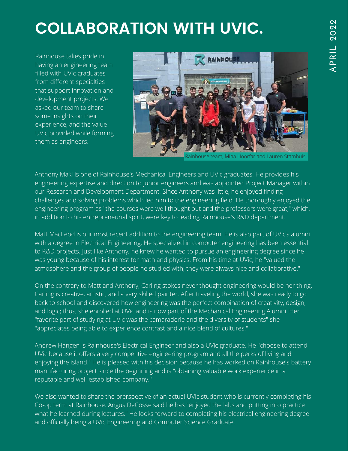# **COLLABORATION WITH UVIC.**

Rainhouse takes pride in having an engineering team filled with UVic graduates from different specialties that support innovation and development projects. We asked our team to share some insights on their experience, and the value UVic provided while forming them as engineers.



Rainhouse team, Mina Hoorfar and Lauren Stamhuis

Anthony Maki is one of Rainhouse's Mechanical Engineers and UVic graduates. He provides his engineering expertise and direction to junior engineers and was appointed Project Manager within our Research and Development Department. Since Anthony was little, he enjoyed finding challenges and solving problems which led him to the engineering field. He thoroughly enjoyed the engineering program as "the courses were well thought out and the professors were great," which, in addition to his entrepreneurial spirit, were key to leading Rainhouse's R&D department.

Matt MacLeod is our most recent addition to the engineering team. He is also part of UVic's alumni with a degree in Electrical Engineering. He specialized in computer engineering has been essential to R&D projects. Just like Anthony, he knew he wanted to pursue an engineering degree since he was young because of his interest for math and physics. From his time at UVic, he "valued the atmosphere and the group of people he studied with; they were always nice and collaborative."

On the contrary to Matt and Anthony, Carling stokes never thought engineering would be her thing. Carling is creative, artistic, and a very skilled painter. After traveling the world, she was ready to go back to school and discovered how engineering was the perfect combination of creativity, design, and logic; thus, she enrolled at UVic and is now part of the Mechanical Engineering Alumni. Her "favorite part of studying at UVic was the camaraderie and the diversity of students" she "appreciates being able to experience contrast and a nice blend of cultures."

Andrew Hangen is Rainhouse's Electrical Engineer and also a UVic graduate. He "choose to attend UVic because it offers a very competitive engineering program and all the perks of living and enjoying the island." He is pleased with his decision because he has worked on Rainhouse's battery manufacturing project since the beginning and is "obtaining valuable work experience in a reputable and well-established company."

We also wanted to share the prerspective of an actual UVic student who is currently completing his Co-op term at Rainhouse. Angus DeCosse said he has "enjoyed the labs and putting into practice what he learned during lectures." He looks forward to completing his electrical engineering degree and officially being a UVic Engineering and Computer Science Graduate.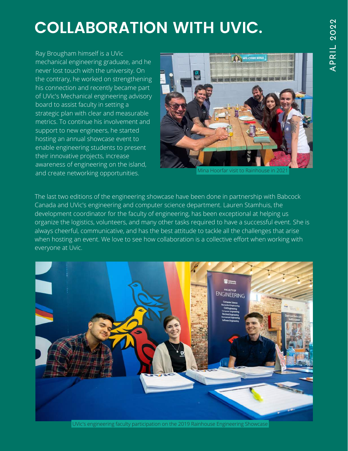# **COLLABORATION WITH UVIC.**

Ray Brougham himself is a UVic mechanical engineering graduate, and he never lost touch with the university. On the contrary, he worked on strengthening his connection and recently became part of UVic's Mechanical engineering advisory board to assist faculty in setting a strategic plan with clear and measurable metrics. To continue his involvement and support to new engineers, he started hosting an annual showcase event to enable engineering students to present their innovative projects, increase awareness of engineering on the island, and create networking opportunities.



Mina Hoorfar visit to Rainhouse in 2021

The last two editions of the engineering showcase have been done in partnership with Babcock Canada and UVic's engineering and computer science department. Lauren Stamhuis, the development coordinator for the faculty of engineering, has been exceptional at helping us organize the logistics, volunteers, and many other tasks required to have a successful event. She is always cheerful, communicative, and has the best attitude to tackle all the challenges that arise when hosting an event. We love to see how collaboration is a collective effort when working with everyone at Uvic.



UVic's engineering faculty participation on the 2019 Rainhouse Engineering Showcase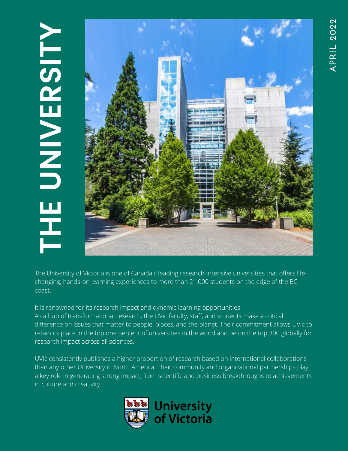#### **THEUNI VER** $\boldsymbol{\mathcal{G}}$ **I TY**



The University of Victoria is one of Canada's leading research-intensive universities that offers lifechanging, hands-on learning experiences to more than 21,000 students on the edge of the BC coast.

It is renowned for its research impact and dynamic learning opportunities. As a hub of transformational research, the UVic faculty, staff, and students make a critical difference on issues that matter to people, places, and the planet. Their commitment allows UVic to retain its place in the top one percent of universities in the world and be on the top 300 globally for research impact across all sciences.

UVic consistently publishes a higher proportion of research based on international collaborations than any other University in North America. Their community and organizational partnerships play a key role in generating strong impact, from scientific and business breakthroughs to achievements in culture and creativity.